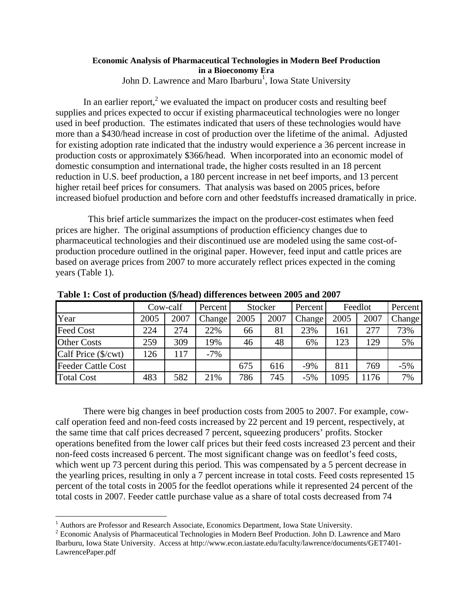## **Economic Analysis of Pharmaceutical Technologies in Modern Beef Production in a Bioeconomy Era**  John D. Lawrence and Maro Ibarburu<sup>1</sup>, Iowa State University

In an earlier report,<sup>2</sup> we evaluated the impact on producer costs and resulting beef supplies and prices expected to occur if existing pharmaceutical technologies were no longer used in beef production. The estimates indicated that users of these technologies would have more than a \$430/head increase in cost of production over the lifetime of the animal. Adjusted for existing adoption rate indicated that the industry would experience a 36 percent increase in production costs or approximately \$366/head. When incorporated into an economic model of domestic consumption and international trade, the higher costs resulted in an 18 percent reduction in U.S. beef production, a 180 percent increase in net beef imports, and 13 percent higher retail beef prices for consumers. That analysis was based on 2005 prices, before increased biofuel production and before corn and other feedstuffs increased dramatically in price.

 This brief article summarizes the impact on the producer-cost estimates when feed prices are higher. The original assumptions of production efficiency changes due to pharmaceutical technologies and their discontinued use are modeled using the same cost-ofproduction procedure outlined in the original paper. However, feed input and cattle prices are based on average prices from 2007 to more accurately reflect prices expected in the coming years (Table 1).

|                           | Cow-calf |      | Stocker<br>Percent |      | Percent | Feedlot |      | Percent |        |
|---------------------------|----------|------|--------------------|------|---------|---------|------|---------|--------|
| Year                      | 2005     | 2007 | Change             | 2005 | 2007    | Change  | 2005 | 2007    | Change |
| <b>Feed Cost</b>          | 224      | 274  | 22%                | 66   | 81      | 23%     | 161  | 277     | 73%    |
| <b>Other Costs</b>        | 259      | 309  | 19%                | 46   | 48      | 6%      | 123  | 129     | 5%     |
| Calf Price (\$/cwt)       | 126      | 117  | $-7%$              |      |         |         |      |         |        |
| <b>Feeder Cattle Cost</b> |          |      |                    | 675  | 616     | $-9%$   | 811  | 769     | $-5%$  |
| <b>Total Cost</b>         | 483      | 582  | 21%                | 786  | 745     | $-5%$   | 1095 | 1176    | 7%     |

**Table 1: Cost of production (\$/head) differences between 2005 and 2007**

There were big changes in beef production costs from 2005 to 2007. For example, cowcalf operation feed and non-feed costs increased by 22 percent and 19 percent, respectively, at the same time that calf prices decreased 7 percent, squeezing producers' profits. Stocker operations benefited from the lower calf prices but their feed costs increased 23 percent and their non-feed costs increased 6 percent. The most significant change was on feedlot's feed costs, which went up 73 percent during this period. This was compensated by a 5 percent decrease in the yearling prices, resulting in only a 7 percent increase in total costs. Feed costs represented 15 percent of the total costs in 2005 for the feedlot operations while it represented 24 percent of the total costs in 2007. Feeder cattle purchase value as a share of total costs decreased from 74

 $\overline{a}$ 

<sup>&</sup>lt;sup>1</sup> Authors are Professor and Research Associate, Economics Department, Iowa State University.

<sup>&</sup>lt;sup>1</sup> Authors are Professor and Research Associate, Economics Department, Iowa State University.<br><sup>2</sup> Economic Analysis of Pharmaceutical Technologies in Modern Beef Production. John D. Lawrence and Maro Ibarburu, Iowa State University. Access at http://www.econ.iastate.edu/faculty/lawrence/documents/GET7401- LawrencePaper.pdf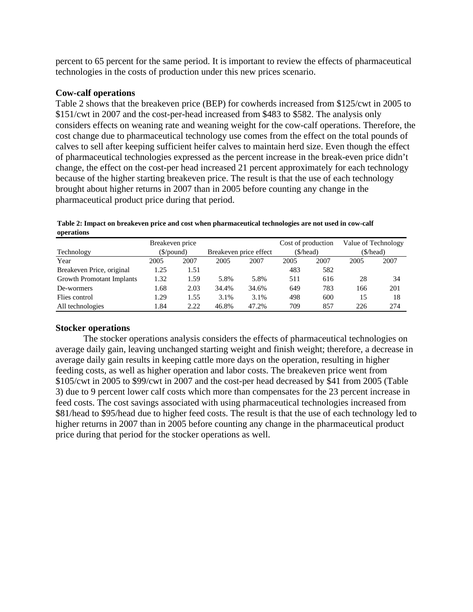percent to 65 percent for the same period. It is important to review the effects of pharmaceutical technologies in the costs of production under this new prices scenario.

# **Cow-calf operations**

Table 2 shows that the breakeven price (BEP) for cowherds increased from \$125/cwt in 2005 to \$151/cwt in 2007 and the cost-per-head increased from \$483 to \$582. The analysis only considers effects on weaning rate and weaning weight for the cow-calf operations. Therefore, the cost change due to pharmaceutical technology use comes from the effect on the total pounds of calves to sell after keeping sufficient heifer calves to maintain herd size. Even though the effect of pharmaceutical technologies expressed as the percent increase in the break-even price didn't change, the effect on the cost-per head increased 21 percent approximately for each technology because of the higher starting breakeven price. The result is that the use of each technology brought about higher returns in 2007 than in 2005 before counting any change in the pharmaceutical product price during that period.

**Table 2: Impact on breakeven price and cost when pharmaceutical technologies are not used in cow-calf operations**

|                                  | Breakeven price        |      |                        |       | Cost of production |      | Value of Technology |      |
|----------------------------------|------------------------|------|------------------------|-------|--------------------|------|---------------------|------|
| Technology                       | $(\frac{\sqrt{2}}{2})$ |      | Breakeven price effect |       | (\$/head)          |      | (\$/head)           |      |
| Year                             | 2005                   | 2007 | 2005                   | 2007  | 2005               | 2007 | 2005                | 2007 |
| Breakeven Price, original        | 1.25                   | 1.51 |                        |       | 483                | 582  |                     |      |
| <b>Growth Promotant Implants</b> | 1.32                   | 1.59 | 5.8%                   | 5.8%  | 511                | 616  | 28                  | 34   |
| De-wormers                       | 1.68                   | 2.03 | 34.4%                  | 34.6% | 649                | 783  | 166                 | 201  |
| Flies control                    | 1.29                   | 1.55 | 3.1%                   | 3.1%  | 498                | 600  | 15                  | 18   |
| All technologies                 | l.84                   | 2.22 | 46.8%                  | 47.2% | 709                | 857  | 226                 | 274  |

# **Stocker operations**

The stocker operations analysis considers the effects of pharmaceutical technologies on average daily gain, leaving unchanged starting weight and finish weight; therefore, a decrease in average daily gain results in keeping cattle more days on the operation, resulting in higher feeding costs, as well as higher operation and labor costs. The breakeven price went from \$105/cwt in 2005 to \$99/cwt in 2007 and the cost-per head decreased by \$41 from 2005 (Table 3) due to 9 percent lower calf costs which more than compensates for the 23 percent increase in feed costs. The cost savings associated with using pharmaceutical technologies increased from \$81/head to \$95/head due to higher feed costs. The result is that the use of each technology led to higher returns in 2007 than in 2005 before counting any change in the pharmaceutical product price during that period for the stocker operations as well.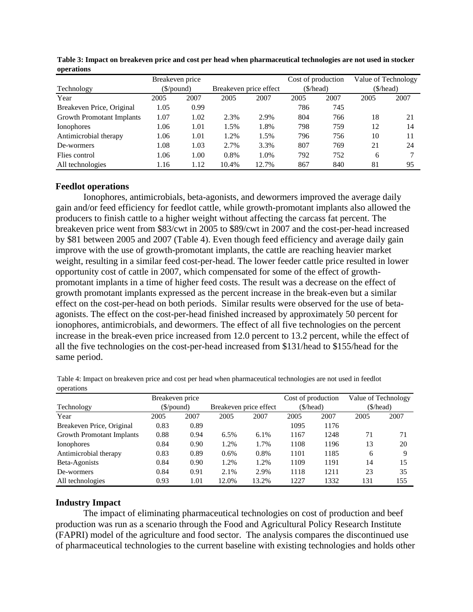|                                  | Breakeven price |      |                        |       |           | Cost of production |           | Value of Technology |  |
|----------------------------------|-----------------|------|------------------------|-------|-----------|--------------------|-----------|---------------------|--|
| Technology                       | (\$/pound)      |      | Breakeven price effect |       | (\$/head) |                    | (\$/head) |                     |  |
| Year                             | 2005            | 2007 | 2005                   | 2007  | 2005      | 2007               | 2005      | 2007                |  |
| Breakeven Price, Original        | 1.05            | 0.99 |                        |       | 786       | 745                |           |                     |  |
| <b>Growth Promotant Implants</b> | 1.07            | 1.02 | 2.3%                   | 2.9%  | 804       | 766                | 18        | 21                  |  |
| <b>Ionophores</b>                | 1.06            | 1.01 | 1.5%                   | 1.8%  | 798       | 759                | 12        | 14                  |  |
| Antimicrobial therapy            | 1.06            | 1.01 | 1.2%                   | 1.5%  | 796       | 756                | 10        | 11                  |  |
| De-wormers                       | 1.08            | 1.03 | 2.7%                   | 3.3%  | 807       | 769                | 21        | 24                  |  |
| Flies control                    | 1.06            | 1.00 | 0.8%                   | 1.0%  | 792       | 752                | 6         |                     |  |
| All technologies                 | 1.16            | 1.12 | 10.4%                  | 12.7% | 867       | 840                | 81        | 95                  |  |

**Table 3: Impact on breakeven price and cost per head when pharmaceutical technologies are not used in stocker operations**

### **Feedlot operations**

Ionophores, antimicrobials, beta-agonists, and dewormers improved the average daily gain and/or feed efficiency for feedlot cattle, while growth-promotant implants also allowed the producers to finish cattle to a higher weight without affecting the carcass fat percent. The breakeven price went from \$83/cwt in 2005 to \$89/cwt in 2007 and the cost-per-head increased by \$81 between 2005 and 2007 (Table 4). Even though feed efficiency and average daily gain improve with the use of growth-promotant implants, the cattle are reaching heavier market weight, resulting in a similar feed cost-per-head. The lower feeder cattle price resulted in lower opportunity cost of cattle in 2007, which compensated for some of the effect of growthpromotant implants in a time of higher feed costs. The result was a decrease on the effect of growth promotant implants expressed as the percent increase in the break-even but a similar effect on the cost-per-head on both periods. Similar results were observed for the use of betaagonists. The effect on the cost-per-head finished increased by approximately 50 percent for ionophores, antimicrobials, and dewormers. The effect of all five technologies on the percent increase in the break-even price increased from 12.0 percent to 13.2 percent, while the effect of all the five technologies on the cost-per-head increased from \$131/head to \$155/head for the same period.

|                                  | Breakeven price |      |                        |       | Cost of production |      | Value of Technology |      |
|----------------------------------|-----------------|------|------------------------|-------|--------------------|------|---------------------|------|
| Technology                       | (S/bound)       |      | Breakeven price effect |       | (\$/head)          |      | (\$/head)           |      |
| Year                             | 2005            | 2007 | 2005                   | 2007  | 2005               | 2007 | 2005                | 2007 |
| Breakeven Price, Original        | 0.83            | 0.89 |                        |       | 1095               | 1176 |                     |      |
| <b>Growth Promotant Implants</b> | 0.88            | 0.94 | 6.5%                   | 6.1%  | 1167               | 1248 | 71                  | 71   |
| <b>Ionophores</b>                | 0.84            | 0.90 | 1.2%                   | 1.7%  | 1108               | 1196 | 13                  | 20   |
| Antimicrobial therapy            | 0.83            | 0.89 | 0.6%                   | 0.8%  | 1101               | 1185 | 6                   | Q    |
| Beta-Agonists                    | 0.84            | 0.90 | 1.2%                   | 1.2%  | 1109               | 1191 | 14                  | 15   |
| De-wormers                       | 0.84            | 0.91 | 2.1%                   | 2.9%  | 1118               | 1211 | 23                  | 35   |
| All technologies                 | 0.93            | 1.01 | 12.0%                  | 13.2% | 1227               | 1332 | 131                 | 155  |

Table 4: Impact on breakeven price and cost per head when pharmaceutical technologies are not used in feedlot operations

### **Industry Impact**

 The impact of eliminating pharmaceutical technologies on cost of production and beef production was run as a scenario through the Food and Agricultural Policy Research Institute (FAPRI) model of the agriculture and food sector. The analysis compares the discontinued use of pharmaceutical technologies to the current baseline with existing technologies and holds other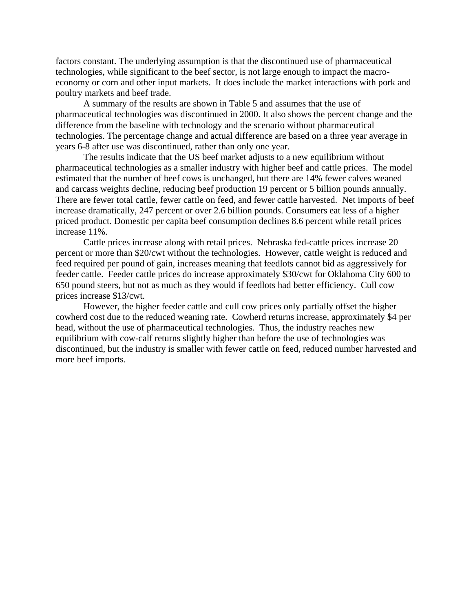factors constant. The underlying assumption is that the discontinued use of pharmaceutical technologies, while significant to the beef sector, is not large enough to impact the macroeconomy or corn and other input markets. It does include the market interactions with pork and poultry markets and beef trade.

A summary of the results are shown in Table 5 and assumes that the use of pharmaceutical technologies was discontinued in 2000. It also shows the percent change and the difference from the baseline with technology and the scenario without pharmaceutical technologies. The percentage change and actual difference are based on a three year average in years 6-8 after use was discontinued, rather than only one year.

The results indicate that the US beef market adjusts to a new equilibrium without pharmaceutical technologies as a smaller industry with higher beef and cattle prices. The model estimated that the number of beef cows is unchanged, but there are 14% fewer calves weaned and carcass weights decline, reducing beef production 19 percent or 5 billion pounds annually. There are fewer total cattle, fewer cattle on feed, and fewer cattle harvested. Net imports of beef increase dramatically, 247 percent or over 2.6 billion pounds. Consumers eat less of a higher priced product. Domestic per capita beef consumption declines 8.6 percent while retail prices increase 11%.

 Cattle prices increase along with retail prices. Nebraska fed-cattle prices increase 20 percent or more than \$20/cwt without the technologies. However, cattle weight is reduced and feed required per pound of gain, increases meaning that feedlots cannot bid as aggressively for feeder cattle. Feeder cattle prices do increase approximately \$30/cwt for Oklahoma City 600 to 650 pound steers, but not as much as they would if feedlots had better efficiency. Cull cow prices increase \$13/cwt.

However, the higher feeder cattle and cull cow prices only partially offset the higher cowherd cost due to the reduced weaning rate. Cowherd returns increase, approximately \$4 per head, without the use of pharmaceutical technologies. Thus, the industry reaches new equilibrium with cow-calf returns slightly higher than before the use of technologies was discontinued, but the industry is smaller with fewer cattle on feed, reduced number harvested and more beef imports.